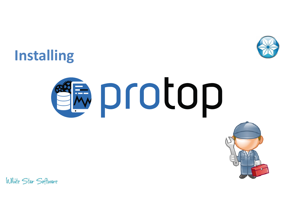

# **Installing**

# **EDIOTOP**

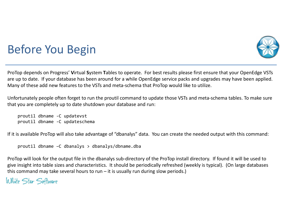

# Before You Begin

ProTop depends on Progress' **V**irtual **S**ystem **T**ables to operate. For best results please first ensure that your OpenEdge VSTs are up to date. If your database has been around for a while OpenEdge service packs and upgrades may have been applied. Many of these add new features to the VSTs and meta-schema that ProTop would like to utilize.

Unfortunately people often forget to run the proutil command to update those VSTs and meta-schema tables. To make sure that you are completely up to date shutdown your database and run:

proutil dbname -C updatevstproutil dbname -C updateschema

If it is available ProTop will also take advantage of "dbanalys" data. You can create the needed output with this command:

```
proutil dbname –C dbanalys > dbanalys/dbname.dba
```
ProTop will look for the output file in the dbanalys sub-directory of the ProTop install directory. If found it will be used to give insight into table sizes and characteristics. It should be periodically refreshed (weekly is typical). (On large databases this command may take several hours to run – it is usually run during slow periods.)

```
White Star Software
```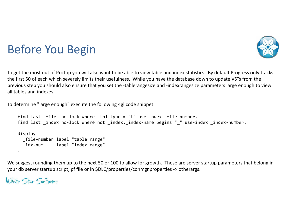

# Before You Begin

To get the most out of ProTop you will also want to be able to view table and index statistics. By default Progress only tracks the first 50 of each which severely limits their usefulness. While you have the database down to update VSTs from the previous step you should also ensure that you set the -tablerangesize and -indexrangesize parameters large enough to view all tables and indexes.

To determine "large enough" execute the following 4gl code snippet:

```
find last file no-lock where tbl-type = "t" use-index file-number.

find last _index no-lock where not _index._index-name begins "_" use-index _index-number.display
_file-number label "table range"
_idx-num label "index range".
```
We suggest rounding them up to the next 50 or 100 to allow for growth. These are server startup parameters that belong in your db server startup script, pf file or in \$DLC/properties/conmgr.properties -> otherargs.

```
White Star Software
```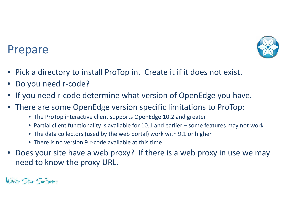

## Prepare

- $\bullet$ Pick a directory to install ProTop in. Create it if it does not exist.
- •Do you need r-code?
- •If you need r-code determine what version of OpenEdge you have.
- There are some OpenEdge version specific limitations to ProTop:
	- The ProTop interactive client supports OpenEdge 10.2 and greater
	- Partial client functionality is available for 10.1 and earlier some features may not work
	- The data collectors (used by the web portal) work with 9.1 or higher
	- There is no version 9 r-code available at this time
- • Does your site have a web proxy? If there is a web proxy in use we may need to know the proxy URL.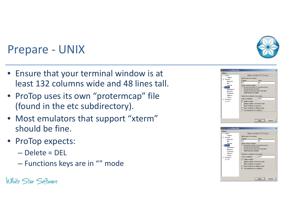## Prepare - UNIX

- Ensure that your terminal window is at least 132 columns wide and 48 lines tall.
- ProTop uses its own "protermcap" file (found in the etc subdirectory).
- Most emulators that support "xterm" should be fine.
- ProTop expects:
	- –— Delete = DEL
	- $\mathcal{L}_{\mathcal{A}}$  , and the set of the set of the set of the set of the set of the set of the set of the set of the set of the set of the set of the set of the set of the set of the set of the set of the set of the set of th  $-$  Functions keys are in "" mode





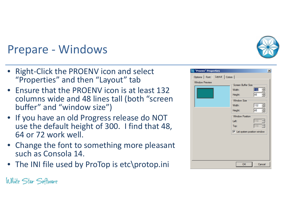

## Prepare - Windows

- • Right-Click the PROENV icon and select "Properties" and then "Layout" tab
- Ensure that the PROENV icon is at least 132 columns wide and 48 lines tall (both "screen buffer" and "window size")
- If you have an old Progress release do NOT use the default height of 300. I find that 48, 64 or 72 work well.
- Change the font to something more pleasant such as Consola 14.
- The INI file used by ProTop is etc\protop.ini

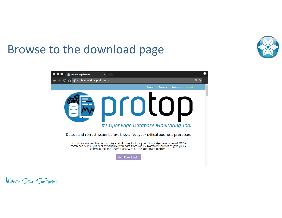

## Browse to the download page

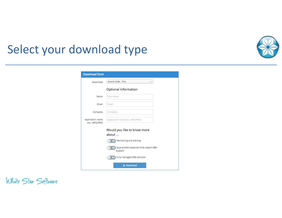## Select your download type



| Download                           | Source Code - *nix                                 |
|------------------------------------|----------------------------------------------------|
|                                    | Optional Information                               |
| Name                               | Your name                                          |
| Email                              | Email                                              |
| Company                            | Company                                            |
| Application name<br>(ex.: MFG/PRO) | Application name (ex.: MFG/PRO)                    |
|                                    | Would you like to know more<br>about               |
|                                    | No. Monitoring and alerting                        |
|                                    | No Guaranteed response-time, expert DBA<br>support |
|                                    | No Fully managed DBA services                      |
|                                    | 上 Download                                         |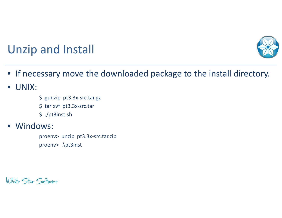

# Unzip and Install

- If necessary move the downloaded package to the install directory.
- •UNIX:
- \$ gunzip pt3.3x-src.tar.gz
- \$ tar xvf pt3.3x-src.tar
- \$ ./pt3inst.sh

#### $\bullet$ Windows:

proenv> unzip pt3.3x-src.tar.zipproenv> .\pt3inst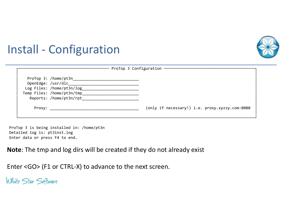

## Install - Configuration

|                                                                                              | -- ProTop 3 Configuration ---------            |
|----------------------------------------------------------------------------------------------|------------------------------------------------|
| Log Files: /home/pt3n/log__________<br>Temp Files: /home/pt3n/tmp<br>Reports: /home/pt3n/rpt |                                                |
| Proxy: ____________                                                                          | (only if necessary!) i.e. proxy.xyzzy.com:8080 |

ProTop 3 is being installed in: /home/pt3nDetailed log is: pt3inst.logEnter data or press F4 to end.

**Note**: The tmp and log dirs will be created if they do not already exist

Enter <GO> (F1 or CTRL-X) to advance to the next screen.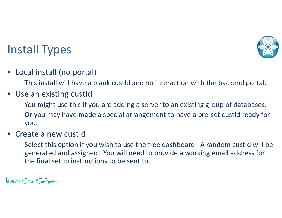

# Install Types

- Local install (no portal)
	- This install will have a blank custId and no interaction with the backend portal.
- Use an existing custId
	- You might use this if you are adding a server to an existing group of databases.
	- Or you may have made a special arrangement to have a pre-set custId ready for you.
- • Create a new custId
	- Select this option if you wish to use the free dashboard. A random custId will be generated and assigned. You will need to provide a working email address for the final setup instructions to be sent to.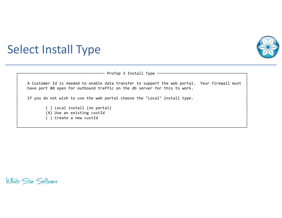

## Select Install Type

| ProTop 3 Install Type -                                                                                                                                                    |  |
|----------------------------------------------------------------------------------------------------------------------------------------------------------------------------|--|
| A Customer Id is needed to enable data transfer to support the web portal. Your firewall must<br>have port 80 open for outbound traffic on the db server for this to work. |  |
| If you do not wish to use the web portal choose the "Local" install type.                                                                                                  |  |
| () Local install (no portal)<br>(X) Use an existing custId<br>() Create a new custId                                                                                       |  |

└────────────────────────────────────────────────────────────────────────────────────────────────────┘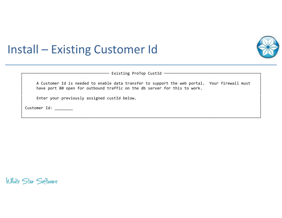

## Install – Existing Customer Id

| Existing ProTop CustId |  |  |
|------------------------|--|--|
|                        |  |  |

A Customer Id is needed to enable data transfer to support the web portal. Your firewall must have port 80 open for outbound traffic on the db server for this to work.

│ │

│ │

│ │└────────────────────────────────────────────────────────────────────────────────────────────────────────┘

Enter your previously assigned custId below.

Customer Id: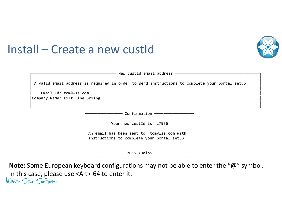

## Install – Create a new custId

| $\blacksquare$<br>New | <b>CUST</b><br>ΠO | emai | .<br>addre<br>___ |  |
|-----------------------|-------------------|------|-------------------|--|
|                       |                   |      |                   |  |

│ │

│ │└────────────────────────────────────────────────────────────────────────────────────────────────────┘

A valid email address is required in order to send instructions to complete your portal setup.

Email Id: tom@wss.com Company Name: Lift Line Skiing

− Confirmation −

│ │Your new custId is z7956 │ │

An email has been sent to tom@wss.com with instructions to complete your portal setup.

│ ───────────────────────────────────────────── ││ <OK> <Help> │└───────────────────────────────────────────────┘

│ │

**Note:** Some European keyboard configurations may not be able to enter the "@" symbol. In this case, please use <Alt>-64 to enter it.White Star Software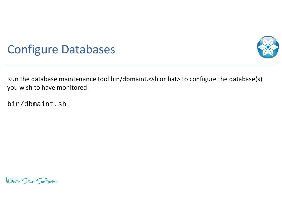

## Configure Databases

Run the database maintenance tool bin/dbmaint.<sh or bat> to configure the database(s) you wish to have monitored:

bin/dbmaint.sh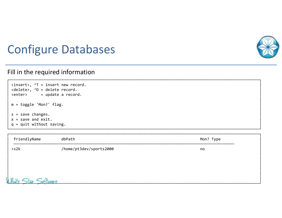

## **Configure Databases**

#### Fill in the required information

| <insert>, ^T = insert new record.<br/><delete>, ^D = delete record.<br/><enter> = update a record.</enter></delete></insert> |
|------------------------------------------------------------------------------------------------------------------------------|
| $m = \text{toggle 'Mon?' flag.}$                                                                                             |
| $s = save changes.$<br>$x =$ save and exit.<br>$q = q$ uit without saving.                                                   |

| friendlyName           | dbPath                  | Mon? Type |
|------------------------|-------------------------|-----------|
| >s2k                   | /home/pt3dev/sports2000 | no        |
|                        |                         |           |
|                        |                         |           |
| White<br>Star Software |                         |           |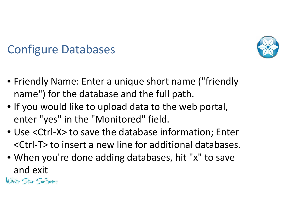

# Configure Databases

- Friendly Name: Enter a unique short name ("friendlyname") for the database and the full path.
- If you would like to upload data to the web portal, enter "yes" in the "Monitored" field.
- Use <Ctrl-X> to save the database information; Enter <Ctrl-T> to insert a new line for additional databases.
- When you're done adding databases, hit "x" to save and exit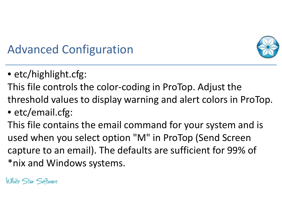

# Advanced Configuration

- etc/highlight.cfg:
- This file controls the color-coding in ProTop. Adjust the threshold values to display warning and alert colors in ProTop.
- etc/email.cfg:

This file contains the email command for your system and is used when you select option "M" in ProTop (Send Screen capture to an email). The defaults are sufficient for 99% of \*nix and Windows systems.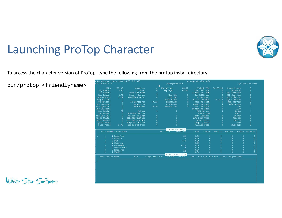

# Launching ProTop Character

To access the character version of ProTop, type the following from the protop install directory:

bin/protop <friendlyname>

| Commits:<br>Hit%<br>100.00<br>DB UpTime:<br>00:12<br>00:00:00<br>Connections:<br>$\mathbf{0}$<br>Oldest TRX:<br>5<br>865<br>02:41<br>Curr BIClstr:<br>$\mathbf{1}$<br>Log Reads:<br>Undos:<br>$\mathbf{0}$<br>Bkp Age:<br>Brokers:<br>$\mathbf{0}$<br>$\overline{2}$<br>$\circ$<br>$\circ$<br>Lock Tbl HWM:<br>Oldest BIClstr:<br>OS Reads:<br>$\Omega$<br>4gl Servers:<br>$\mathbf{0}$<br>276<br>$\mathbf{0}$<br>$\mathbf{0}$<br>Rec Reads:<br>Curr # Locks:<br>SQL Servers:<br>New RM:<br>Num BIClstrs:<br>$\Omega$<br>$\overline{2}$<br>3.14<br>$\mathbf{0}$<br>LogRd/RecRd:<br>Modified Bufs:<br>From RM:<br>$\mathbf{0}$<br>4ql Clients:<br>BI MB Used:<br>$\mathbf{0}$<br>Loq Writes:<br>$\mathbf{0}$<br>From Free:<br>$\mathbf{0}$<br>Curr AI Extent:<br>$5$ of $5$<br>SQL Clients:<br>$\mathbf 0$<br>OS Writes:<br>0.02<br>$\mathbf{0}$<br>$\mathbf{0}$<br>Curr AI Seq#:<br>IO Response:<br>Examined:<br>5<br>App Server:<br>$\circ$<br>$\mathbf{0}$<br>$\mathbf{0}$<br>Rec Creates:<br>BogoMIPS:?<br>Front2Bk:<br>Empty AI Exts:<br>4<br>Web Speed:<br>0.00<br>Rec Updates:<br>$\mathbf{0}$<br>BOQOMIP%:<br>Remove Lk:<br>$\mathbf{0}$<br>Full AI Exts:<br>$\Omega$<br>BIW:<br>$\mathbf{0}$<br>AIW:<br>Rec Deletes:<br>$\mathbf{0}$<br>Locked AI Exts:<br>77<br>$\mathbf{0}$<br>$\circ$<br>Rec Locks:<br>Notes:<br>APW Writes:<br>$\mathbf{0}$<br>APWs:<br>$\mathbf{0}$<br><b>BIW/AIW Write%</b><br>Rec Waits:<br>APW Write%<br>WDOG:<br>$\mathbf{0}$<br>$\circ$<br>$\mathbf{0}$<br>Local:<br>$\mathbf{1}$<br>Idx Blk Spl:<br>$\circ$<br>Writes to Loq:<br>Bufs Scanned:<br>$\mathbf{0}$<br>$\Omega$<br>$\mathbf{0}$<br>$\mathbf{0}$<br>Resrc Waits:<br>$\Omega$<br><b>BIW/AIW Writes:</b><br>APW Scan Wrts:<br>Remote:<br>$\mathbf{0}$<br>$\mathbf{0}$<br>Partial Buf Wr:<br>$\mathbf{1}$<br>Latch Waits:<br>$\mathbf{0}$<br>APW Q Wrts:<br>$\mathbf{0}$<br>Batch:<br>$\circ$<br>$\overline{0}$<br>$\circ$<br>$\Omega$<br>pica Used:<br>Busy Buf Waits:<br>$\mathbf{0}$<br>TRX:<br>Chkpt 0 Wrts:<br>$\mathbf{0}$<br>$\mathbf{0}$<br>$\mathbf{0}$<br>pica Used%<br>0.00<br>Empty Buf Wts:<br>Flushed Bufs:<br>$\mathbf{0}$<br>Blocked:<br>Table Activity<br>Tbl# Area# Table Name<br>RM Chain<br>Create<br>Read v<br>Update<br>Delete<br>#Records<br>Turns<br>7 Benefits<br>0.00<br>$\mathbf{1}$<br>21<br>$\mathbf{0}$<br>$\Omega$<br>$\mathbf{0}$<br>$\mathbf{0}$<br>$\rightarrow$<br>$\overline{2}$<br>$\overline{2}$<br>7 BillTo<br>0.00<br>$\mathbf{0}$<br>$\Omega$<br>$\mathbf{0}$<br>$\mathbf{0}$<br>3<br>$\Omega$<br>$\mathbf{o}$<br>7 Bin<br>770<br>0.00<br>$\mathbf{0}$<br>$\mathbf{0}$<br>$\overline{4}$<br>$\mathbf{o}$<br>0.00<br>$\mathbf{0}$<br>$\mathbf{0}$<br>$\mathbf{0}$<br>7 Country<br>5<br>1117<br>$\Omega$<br>$\Omega$<br>0.00<br>$\Omega$<br>$\Omega$<br>7 Customer<br>6<br>$\Omega$<br>$\Omega$<br>$\theta$<br>$\alpha$<br>0.00<br>7 Department<br>7<br>$\overline{7}$<br>55<br>$\mathbf{0}$<br>$\mathbf{0}$<br>$\mathbf{0}$<br>$\mathbf{0}$<br>7 Employee<br>0.00<br>8<br>72<br>$\circ$<br>$\Omega$<br>$\mathbf{0}$<br>$\Omega$<br>7 Family<br>0.00<br>User IO Activity<br>Flags Blk Ac v<br>PID<br>OS Rd<br>OS Wr<br>Hit% Rec Lck Rec Wts Line# Program Name<br>Usr# Tenant Name |  |  |  |  |              |
|---------------------------------------------------------------------------------------------------------------------------------------------------------------------------------------------------------------------------------------------------------------------------------------------------------------------------------------------------------------------------------------------------------------------------------------------------------------------------------------------------------------------------------------------------------------------------------------------------------------------------------------------------------------------------------------------------------------------------------------------------------------------------------------------------------------------------------------------------------------------------------------------------------------------------------------------------------------------------------------------------------------------------------------------------------------------------------------------------------------------------------------------------------------------------------------------------------------------------------------------------------------------------------------------------------------------------------------------------------------------------------------------------------------------------------------------------------------------------------------------------------------------------------------------------------------------------------------------------------------------------------------------------------------------------------------------------------------------------------------------------------------------------------------------------------------------------------------------------------------------------------------------------------------------------------------------------------------------------------------------------------------------------------------------------------------------------------------------------------------------------------------------------------------------------------------------------------------------------------------------------------------------------------------------------------------------------------------------------------------------------------------------------------------------------------------------------------------------------------------------------------------------------------------------------------------------------------------------------------------------------------------------------------------------------------------------------------------------------------------------------------------------------------------------------------------------------------------------------------------------------------------------------------------------------------------------------------------------------------------------------------------------------------------------------------------------------------------------------------------------------------------------------------------------------------------------------------------------|--|--|--|--|--------------|
|                                                                                                                                                                                                                                                                                                                                                                                                                                                                                                                                                                                                                                                                                                                                                                                                                                                                                                                                                                                                                                                                                                                                                                                                                                                                                                                                                                                                                                                                                                                                                                                                                                                                                                                                                                                                                                                                                                                                                                                                                                                                                                                                                                                                                                                                                                                                                                                                                                                                                                                                                                                                                                                                                                                                                                                                                                                                                                                                                                                                                                                                                                                                                                                                                     |  |  |  |  |              |
|                                                                                                                                                                                                                                                                                                                                                                                                                                                                                                                                                                                                                                                                                                                                                                                                                                                                                                                                                                                                                                                                                                                                                                                                                                                                                                                                                                                                                                                                                                                                                                                                                                                                                                                                                                                                                                                                                                                                                                                                                                                                                                                                                                                                                                                                                                                                                                                                                                                                                                                                                                                                                                                                                                                                                                                                                                                                                                                                                                                                                                                                                                                                                                                                                     |  |  |  |  |              |
|                                                                                                                                                                                                                                                                                                                                                                                                                                                                                                                                                                                                                                                                                                                                                                                                                                                                                                                                                                                                                                                                                                                                                                                                                                                                                                                                                                                                                                                                                                                                                                                                                                                                                                                                                                                                                                                                                                                                                                                                                                                                                                                                                                                                                                                                                                                                                                                                                                                                                                                                                                                                                                                                                                                                                                                                                                                                                                                                                                                                                                                                                                                                                                                                                     |  |  |  |  |              |
|                                                                                                                                                                                                                                                                                                                                                                                                                                                                                                                                                                                                                                                                                                                                                                                                                                                                                                                                                                                                                                                                                                                                                                                                                                                                                                                                                                                                                                                                                                                                                                                                                                                                                                                                                                                                                                                                                                                                                                                                                                                                                                                                                                                                                                                                                                                                                                                                                                                                                                                                                                                                                                                                                                                                                                                                                                                                                                                                                                                                                                                                                                                                                                                                                     |  |  |  |  |              |
|                                                                                                                                                                                                                                                                                                                                                                                                                                                                                                                                                                                                                                                                                                                                                                                                                                                                                                                                                                                                                                                                                                                                                                                                                                                                                                                                                                                                                                                                                                                                                                                                                                                                                                                                                                                                                                                                                                                                                                                                                                                                                                                                                                                                                                                                                                                                                                                                                                                                                                                                                                                                                                                                                                                                                                                                                                                                                                                                                                                                                                                                                                                                                                                                                     |  |  |  |  |              |
|                                                                                                                                                                                                                                                                                                                                                                                                                                                                                                                                                                                                                                                                                                                                                                                                                                                                                                                                                                                                                                                                                                                                                                                                                                                                                                                                                                                                                                                                                                                                                                                                                                                                                                                                                                                                                                                                                                                                                                                                                                                                                                                                                                                                                                                                                                                                                                                                                                                                                                                                                                                                                                                                                                                                                                                                                                                                                                                                                                                                                                                                                                                                                                                                                     |  |  |  |  |              |
|                                                                                                                                                                                                                                                                                                                                                                                                                                                                                                                                                                                                                                                                                                                                                                                                                                                                                                                                                                                                                                                                                                                                                                                                                                                                                                                                                                                                                                                                                                                                                                                                                                                                                                                                                                                                                                                                                                                                                                                                                                                                                                                                                                                                                                                                                                                                                                                                                                                                                                                                                                                                                                                                                                                                                                                                                                                                                                                                                                                                                                                                                                                                                                                                                     |  |  |  |  |              |
|                                                                                                                                                                                                                                                                                                                                                                                                                                                                                                                                                                                                                                                                                                                                                                                                                                                                                                                                                                                                                                                                                                                                                                                                                                                                                                                                                                                                                                                                                                                                                                                                                                                                                                                                                                                                                                                                                                                                                                                                                                                                                                                                                                                                                                                                                                                                                                                                                                                                                                                                                                                                                                                                                                                                                                                                                                                                                                                                                                                                                                                                                                                                                                                                                     |  |  |  |  |              |
|                                                                                                                                                                                                                                                                                                                                                                                                                                                                                                                                                                                                                                                                                                                                                                                                                                                                                                                                                                                                                                                                                                                                                                                                                                                                                                                                                                                                                                                                                                                                                                                                                                                                                                                                                                                                                                                                                                                                                                                                                                                                                                                                                                                                                                                                                                                                                                                                                                                                                                                                                                                                                                                                                                                                                                                                                                                                                                                                                                                                                                                                                                                                                                                                                     |  |  |  |  |              |
|                                                                                                                                                                                                                                                                                                                                                                                                                                                                                                                                                                                                                                                                                                                                                                                                                                                                                                                                                                                                                                                                                                                                                                                                                                                                                                                                                                                                                                                                                                                                                                                                                                                                                                                                                                                                                                                                                                                                                                                                                                                                                                                                                                                                                                                                                                                                                                                                                                                                                                                                                                                                                                                                                                                                                                                                                                                                                                                                                                                                                                                                                                                                                                                                                     |  |  |  |  |              |
|                                                                                                                                                                                                                                                                                                                                                                                                                                                                                                                                                                                                                                                                                                                                                                                                                                                                                                                                                                                                                                                                                                                                                                                                                                                                                                                                                                                                                                                                                                                                                                                                                                                                                                                                                                                                                                                                                                                                                                                                                                                                                                                                                                                                                                                                                                                                                                                                                                                                                                                                                                                                                                                                                                                                                                                                                                                                                                                                                                                                                                                                                                                                                                                                                     |  |  |  |  |              |
|                                                                                                                                                                                                                                                                                                                                                                                                                                                                                                                                                                                                                                                                                                                                                                                                                                                                                                                                                                                                                                                                                                                                                                                                                                                                                                                                                                                                                                                                                                                                                                                                                                                                                                                                                                                                                                                                                                                                                                                                                                                                                                                                                                                                                                                                                                                                                                                                                                                                                                                                                                                                                                                                                                                                                                                                                                                                                                                                                                                                                                                                                                                                                                                                                     |  |  |  |  |              |
|                                                                                                                                                                                                                                                                                                                                                                                                                                                                                                                                                                                                                                                                                                                                                                                                                                                                                                                                                                                                                                                                                                                                                                                                                                                                                                                                                                                                                                                                                                                                                                                                                                                                                                                                                                                                                                                                                                                                                                                                                                                                                                                                                                                                                                                                                                                                                                                                                                                                                                                                                                                                                                                                                                                                                                                                                                                                                                                                                                                                                                                                                                                                                                                                                     |  |  |  |  |              |
|                                                                                                                                                                                                                                                                                                                                                                                                                                                                                                                                                                                                                                                                                                                                                                                                                                                                                                                                                                                                                                                                                                                                                                                                                                                                                                                                                                                                                                                                                                                                                                                                                                                                                                                                                                                                                                                                                                                                                                                                                                                                                                                                                                                                                                                                                                                                                                                                                                                                                                                                                                                                                                                                                                                                                                                                                                                                                                                                                                                                                                                                                                                                                                                                                     |  |  |  |  |              |
|                                                                                                                                                                                                                                                                                                                                                                                                                                                                                                                                                                                                                                                                                                                                                                                                                                                                                                                                                                                                                                                                                                                                                                                                                                                                                                                                                                                                                                                                                                                                                                                                                                                                                                                                                                                                                                                                                                                                                                                                                                                                                                                                                                                                                                                                                                                                                                                                                                                                                                                                                                                                                                                                                                                                                                                                                                                                                                                                                                                                                                                                                                                                                                                                                     |  |  |  |  |              |
|                                                                                                                                                                                                                                                                                                                                                                                                                                                                                                                                                                                                                                                                                                                                                                                                                                                                                                                                                                                                                                                                                                                                                                                                                                                                                                                                                                                                                                                                                                                                                                                                                                                                                                                                                                                                                                                                                                                                                                                                                                                                                                                                                                                                                                                                                                                                                                                                                                                                                                                                                                                                                                                                                                                                                                                                                                                                                                                                                                                                                                                                                                                                                                                                                     |  |  |  |  |              |
|                                                                                                                                                                                                                                                                                                                                                                                                                                                                                                                                                                                                                                                                                                                                                                                                                                                                                                                                                                                                                                                                                                                                                                                                                                                                                                                                                                                                                                                                                                                                                                                                                                                                                                                                                                                                                                                                                                                                                                                                                                                                                                                                                                                                                                                                                                                                                                                                                                                                                                                                                                                                                                                                                                                                                                                                                                                                                                                                                                                                                                                                                                                                                                                                                     |  |  |  |  |              |
|                                                                                                                                                                                                                                                                                                                                                                                                                                                                                                                                                                                                                                                                                                                                                                                                                                                                                                                                                                                                                                                                                                                                                                                                                                                                                                                                                                                                                                                                                                                                                                                                                                                                                                                                                                                                                                                                                                                                                                                                                                                                                                                                                                                                                                                                                                                                                                                                                                                                                                                                                                                                                                                                                                                                                                                                                                                                                                                                                                                                                                                                                                                                                                                                                     |  |  |  |  |              |
|                                                                                                                                                                                                                                                                                                                                                                                                                                                                                                                                                                                                                                                                                                                                                                                                                                                                                                                                                                                                                                                                                                                                                                                                                                                                                                                                                                                                                                                                                                                                                                                                                                                                                                                                                                                                                                                                                                                                                                                                                                                                                                                                                                                                                                                                                                                                                                                                                                                                                                                                                                                                                                                                                                                                                                                                                                                                                                                                                                                                                                                                                                                                                                                                                     |  |  |  |  | OS Read      |
|                                                                                                                                                                                                                                                                                                                                                                                                                                                                                                                                                                                                                                                                                                                                                                                                                                                                                                                                                                                                                                                                                                                                                                                                                                                                                                                                                                                                                                                                                                                                                                                                                                                                                                                                                                                                                                                                                                                                                                                                                                                                                                                                                                                                                                                                                                                                                                                                                                                                                                                                                                                                                                                                                                                                                                                                                                                                                                                                                                                                                                                                                                                                                                                                                     |  |  |  |  | $\circ$      |
|                                                                                                                                                                                                                                                                                                                                                                                                                                                                                                                                                                                                                                                                                                                                                                                                                                                                                                                                                                                                                                                                                                                                                                                                                                                                                                                                                                                                                                                                                                                                                                                                                                                                                                                                                                                                                                                                                                                                                                                                                                                                                                                                                                                                                                                                                                                                                                                                                                                                                                                                                                                                                                                                                                                                                                                                                                                                                                                                                                                                                                                                                                                                                                                                                     |  |  |  |  | $\mathbf{0}$ |
|                                                                                                                                                                                                                                                                                                                                                                                                                                                                                                                                                                                                                                                                                                                                                                                                                                                                                                                                                                                                                                                                                                                                                                                                                                                                                                                                                                                                                                                                                                                                                                                                                                                                                                                                                                                                                                                                                                                                                                                                                                                                                                                                                                                                                                                                                                                                                                                                                                                                                                                                                                                                                                                                                                                                                                                                                                                                                                                                                                                                                                                                                                                                                                                                                     |  |  |  |  | $\circ$      |
|                                                                                                                                                                                                                                                                                                                                                                                                                                                                                                                                                                                                                                                                                                                                                                                                                                                                                                                                                                                                                                                                                                                                                                                                                                                                                                                                                                                                                                                                                                                                                                                                                                                                                                                                                                                                                                                                                                                                                                                                                                                                                                                                                                                                                                                                                                                                                                                                                                                                                                                                                                                                                                                                                                                                                                                                                                                                                                                                                                                                                                                                                                                                                                                                                     |  |  |  |  | $\mathbf{0}$ |
|                                                                                                                                                                                                                                                                                                                                                                                                                                                                                                                                                                                                                                                                                                                                                                                                                                                                                                                                                                                                                                                                                                                                                                                                                                                                                                                                                                                                                                                                                                                                                                                                                                                                                                                                                                                                                                                                                                                                                                                                                                                                                                                                                                                                                                                                                                                                                                                                                                                                                                                                                                                                                                                                                                                                                                                                                                                                                                                                                                                                                                                                                                                                                                                                                     |  |  |  |  | $\mathbf{0}$ |
|                                                                                                                                                                                                                                                                                                                                                                                                                                                                                                                                                                                                                                                                                                                                                                                                                                                                                                                                                                                                                                                                                                                                                                                                                                                                                                                                                                                                                                                                                                                                                                                                                                                                                                                                                                                                                                                                                                                                                                                                                                                                                                                                                                                                                                                                                                                                                                                                                                                                                                                                                                                                                                                                                                                                                                                                                                                                                                                                                                                                                                                                                                                                                                                                                     |  |  |  |  | $\circ$      |
|                                                                                                                                                                                                                                                                                                                                                                                                                                                                                                                                                                                                                                                                                                                                                                                                                                                                                                                                                                                                                                                                                                                                                                                                                                                                                                                                                                                                                                                                                                                                                                                                                                                                                                                                                                                                                                                                                                                                                                                                                                                                                                                                                                                                                                                                                                                                                                                                                                                                                                                                                                                                                                                                                                                                                                                                                                                                                                                                                                                                                                                                                                                                                                                                                     |  |  |  |  | $\mathbf{0}$ |
|                                                                                                                                                                                                                                                                                                                                                                                                                                                                                                                                                                                                                                                                                                                                                                                                                                                                                                                                                                                                                                                                                                                                                                                                                                                                                                                                                                                                                                                                                                                                                                                                                                                                                                                                                                                                                                                                                                                                                                                                                                                                                                                                                                                                                                                                                                                                                                                                                                                                                                                                                                                                                                                                                                                                                                                                                                                                                                                                                                                                                                                                                                                                                                                                                     |  |  |  |  | $\mathbf{0}$ |
|                                                                                                                                                                                                                                                                                                                                                                                                                                                                                                                                                                                                                                                                                                                                                                                                                                                                                                                                                                                                                                                                                                                                                                                                                                                                                                                                                                                                                                                                                                                                                                                                                                                                                                                                                                                                                                                                                                                                                                                                                                                                                                                                                                                                                                                                                                                                                                                                                                                                                                                                                                                                                                                                                                                                                                                                                                                                                                                                                                                                                                                                                                                                                                                                                     |  |  |  |  |              |
|                                                                                                                                                                                                                                                                                                                                                                                                                                                                                                                                                                                                                                                                                                                                                                                                                                                                                                                                                                                                                                                                                                                                                                                                                                                                                                                                                                                                                                                                                                                                                                                                                                                                                                                                                                                                                                                                                                                                                                                                                                                                                                                                                                                                                                                                                                                                                                                                                                                                                                                                                                                                                                                                                                                                                                                                                                                                                                                                                                                                                                                                                                                                                                                                                     |  |  |  |  |              |
|                                                                                                                                                                                                                                                                                                                                                                                                                                                                                                                                                                                                                                                                                                                                                                                                                                                                                                                                                                                                                                                                                                                                                                                                                                                                                                                                                                                                                                                                                                                                                                                                                                                                                                                                                                                                                                                                                                                                                                                                                                                                                                                                                                                                                                                                                                                                                                                                                                                                                                                                                                                                                                                                                                                                                                                                                                                                                                                                                                                                                                                                                                                                                                                                                     |  |  |  |  |              |
|                                                                                                                                                                                                                                                                                                                                                                                                                                                                                                                                                                                                                                                                                                                                                                                                                                                                                                                                                                                                                                                                                                                                                                                                                                                                                                                                                                                                                                                                                                                                                                                                                                                                                                                                                                                                                                                                                                                                                                                                                                                                                                                                                                                                                                                                                                                                                                                                                                                                                                                                                                                                                                                                                                                                                                                                                                                                                                                                                                                                                                                                                                                                                                                                                     |  |  |  |  |              |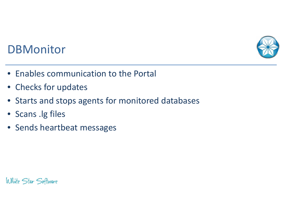

## **DBMonitor**

- Enables communication to the Portal
- Checks for updates
- Starts and stops agents for monitored databases
- Scans .lg files
- Sends heartbeat messages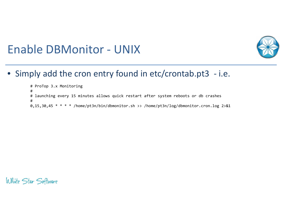

## Enable DBMonitor - UNIX

• Simply add the cron entry found in etc/crontab.pt3 - i.e.

# ProTop 3.x Monitoring# # launching every 15 minutes allows quick restart after system reboots or db crashes#0,15,30,45 \* \* \* \* /home/pt3n/bin/dbmonitor.sh >> /home/pt3n/log/dbmonitor.cron.log 2>&1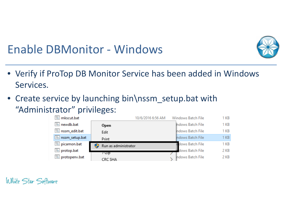

## Enable DBMonitor - Windows

- Verify if ProTop DB Monitor Service has been added in Windows Services.
- Create service by launching bin\nssm\_setup.bat with"Administrator" privileges:

| nkscut.bat     |                      | 10/6/2016 6:56 AM | Windows Batch File | 1 KB |
|----------------|----------------------|-------------------|--------------------|------|
| newdb.bat      | Open                 |                   | Indows Batch File  | 1 KB |
| nssm_edit.bat  | Edit                 |                   | Indows Batch File  | 1 KB |
| nssm_setup.bat | Print                |                   | Indows Batch File  | 1 KB |
| Dicamon.bat    | Run as administrator |                   | dows Batch File    | 1 KB |
| o protop.bat   | /−∠ip                |                   | dows Batch File    | 2 KB |
| protopenv.bat  | CRC SHA              |                   | Indows Batch File  | 2 KB |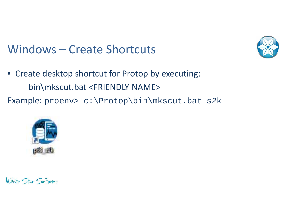

## Windows – Create Shortcuts

- Create desktop shortcut for Protop by executing: bin\mkscut.bat <FRIENDLY NAME>
- Example: proenv> c:\Protop\bin\mkscut.bat s2k

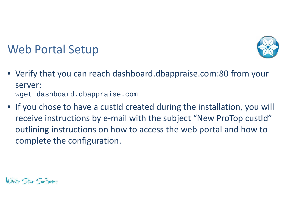

# Web Portal Setup

- Verify that you can reach dashboard.dbappraise.com:80 from your server:wget dashboard.dbappraise.com
- If you chose to have a custId created during the installation, you will receive instructions by e-mail with the subject "New ProTop custId" outlining instructions on how to access the web portal and how to complete the configuration.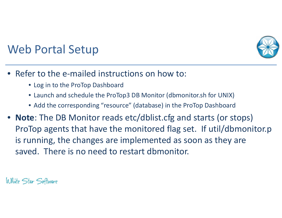

# Web Portal Setup

- $\bullet$  Refer to the e-mailed instructions on how to:
	- Log in to the ProTop Dashboard
	- Launch and schedule the ProTop3 DB Monitor (dbmonitor.sh for UNIX)
	- Add the corresponding "resource" (database) in the ProTop Dashboard
- **Note**: The DB Monitor reads etc/dblist.cfg and starts (or stops) ProTop agents that have the monitored flag set. If util/dbmonitor.pis running, the changes are implemented as soon as they are saved. There is no need to restart dbmonitor.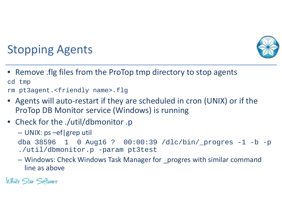

# Stopping Agents

- Remove .flg files from the ProTop tmp directory to stop agents cd tmprm pt3agent.<friendly name>.flg
- • Agents will auto-restart if they are scheduled in cron (UNIX) or if the ProTop DB Monitor service (Windows) is running
- Check for the ./util/dbmonitor .p
	- UNIX: ps –ef|grep util

```
dba 38596 1 0 Aug16 ? 00:00:39 /dlc/bin/_progres -1 -b -p 
./util/dbmonitor.p -param pt3test
```
– Windows: Check Windows Task Manager for \_progres with similar command line as above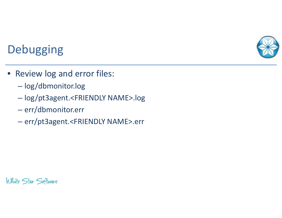

# **Debugging**

- Review log and error files:
	- $\mathcal{L}_{\mathcal{A}}$ log/dbmonitor.log
	- $\mathcal{L}_{\mathcal{A}}$ log/pt3agent.<FRIENDLY NAME>.log
	- $\mathcal{L}_{\mathcal{A}}$  , and the set of the set of the set of the set of the set of the set of the set of the set of the set of the set of the set of the set of the set of the set of the set of the set of the set of the set of th <mark>— err/dbmonitor.err</mark>
	- –err/pt3agent.<FRIENDLY NAME>.err